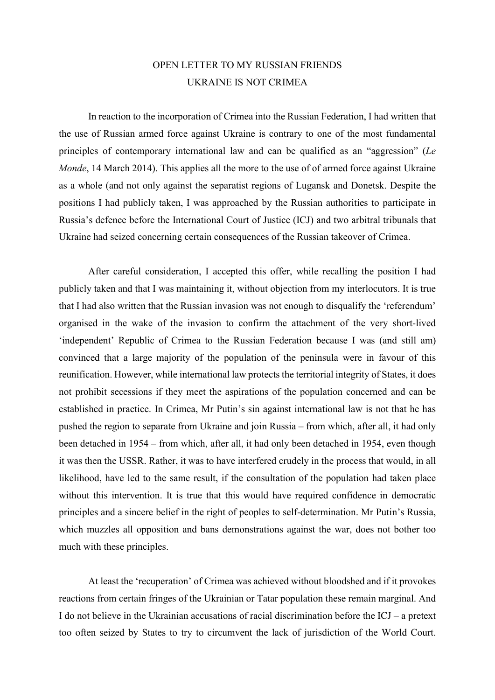## OPEN LETTER TO MY RUSSIAN FRIENDS UKRAINE IS NOT CRIMEA

 In reaction to the incorporation of Crimea into the Russian Federation, I had written that the use of Russian armed force against Ukraine is contrary to one of the most fundamental principles of contemporary international law and can be qualified as an "aggression" (Le Monde, 14 March 2014). This applies all the more to the use of of armed force against Ukraine as a whole (and not only against the separatist regions of Lugansk and Donetsk. Despite the positions I had publicly taken, I was approached by the Russian authorities to participate in Russia's defence before the International Court of Justice (ICJ) and two arbitral tribunals that Ukraine had seized concerning certain consequences of the Russian takeover of Crimea.

 After careful consideration, I accepted this offer, while recalling the position I had publicly taken and that I was maintaining it, without objection from my interlocutors. It is true that I had also written that the Russian invasion was not enough to disqualify the 'referendum' organised in the wake of the invasion to confirm the attachment of the very short-lived 'independent' Republic of Crimea to the Russian Federation because I was (and still am) convinced that a large majority of the population of the peninsula were in favour of this reunification. However, while international law protects the territorial integrity of States, it does not prohibit secessions if they meet the aspirations of the population concerned and can be established in practice. In Crimea, Mr Putin's sin against international law is not that he has pushed the region to separate from Ukraine and join Russia – from which, after all, it had only been detached in 1954 – from which, after all, it had only been detached in 1954, even though it was then the USSR. Rather, it was to have interfered crudely in the process that would, in all likelihood, have led to the same result, if the consultation of the population had taken place without this intervention. It is true that this would have required confidence in democratic principles and a sincere belief in the right of peoples to self-determination. Mr Putin's Russia, which muzzles all opposition and bans demonstrations against the war, does not bother too much with these principles.

 At least the 'recuperation' of Crimea was achieved without bloodshed and if it provokes reactions from certain fringes of the Ukrainian or Tatar population these remain marginal. And I do not believe in the Ukrainian accusations of racial discrimination before the ICJ – a pretext too often seized by States to try to circumvent the lack of jurisdiction of the World Court.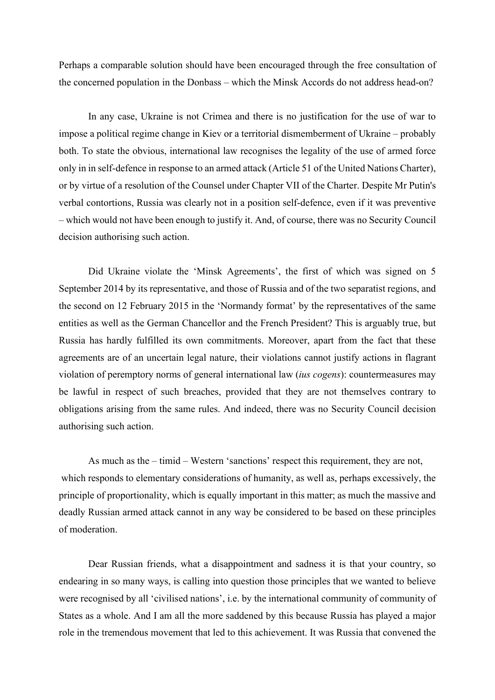Perhaps a comparable solution should have been encouraged through the free consultation of the concerned population in the Donbass – which the Minsk Accords do not address head-on?

 In any case, Ukraine is not Crimea and there is no justification for the use of war to impose a political regime change in Kiev or a territorial dismemberment of Ukraine – probably both. To state the obvious, international law recognises the legality of the use of armed force only in in self-defence in response to an armed attack (Article 51 of the United Nations Charter), or by virtue of a resolution of the Counsel under Chapter VII of the Charter. Despite Mr Putin's verbal contortions, Russia was clearly not in a position self-defence, even if it was preventive – which would not have been enough to justify it. And, of course, there was no Security Council decision authorising such action.

 Did Ukraine violate the 'Minsk Agreements', the first of which was signed on 5 September 2014 by its representative, and those of Russia and of the two separatist regions, and the second on 12 February 2015 in the 'Normandy format' by the representatives of the same entities as well as the German Chancellor and the French President? This is arguably true, but Russia has hardly fulfilled its own commitments. Moreover, apart from the fact that these agreements are of an uncertain legal nature, their violations cannot justify actions in flagrant violation of peremptory norms of general international law (ius cogens): countermeasures may be lawful in respect of such breaches, provided that they are not themselves contrary to obligations arising from the same rules. And indeed, there was no Security Council decision authorising such action.

 As much as the – timid – Western 'sanctions' respect this requirement, they are not, which responds to elementary considerations of humanity, as well as, perhaps excessively, the principle of proportionality, which is equally important in this matter; as much the massive and deadly Russian armed attack cannot in any way be considered to be based on these principles of moderation.

 Dear Russian friends, what a disappointment and sadness it is that your country, so endearing in so many ways, is calling into question those principles that we wanted to believe were recognised by all 'civilised nations', i.e. by the international community of community of States as a whole. And I am all the more saddened by this because Russia has played a major role in the tremendous movement that led to this achievement. It was Russia that convened the